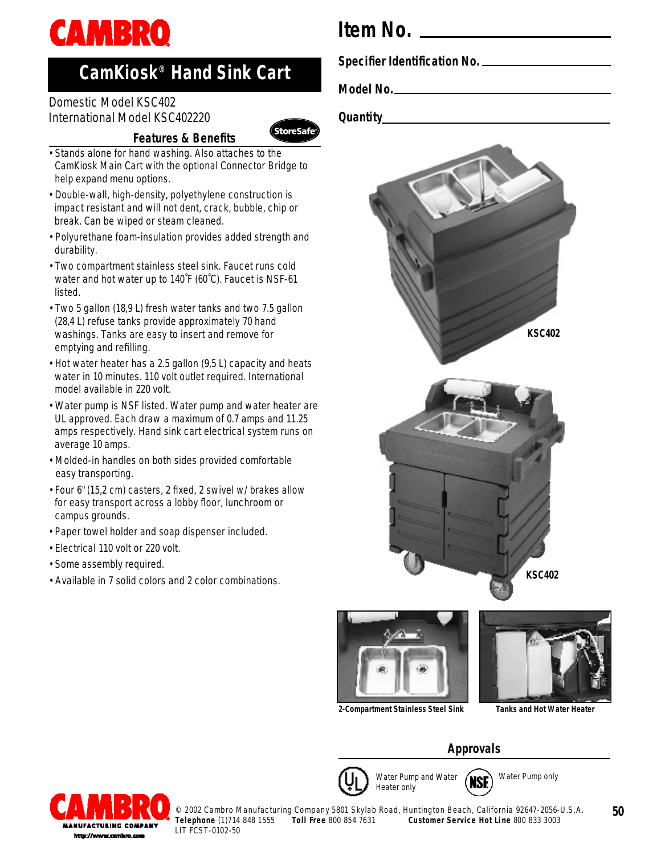

# **CamKiosk® Hand Sink Cart**

## Domestic Model KSC402 International Model KSC402220

## **Features & Benefits**



- Double-wall, high-density, polyethylene construction is impact resistant and will not dent, crack, bubble, chip or break. Can be wiped or steam cleaned.
- Polyurethane foam-insulation provides added strength and durability.
- Two compartment stainless steel sink. Faucet runs cold water and hot water up to 140˚F (60˚C). Faucet is NSF-61 listed.
- Two 5 gallon (18,9 L) fresh water tanks and two 7.5 gallon (28,4 L) refuse tanks provide approximately 70 hand washings. Tanks are easy to insert and remove for emptying and refilling.
- Hot water heater has a 2.5 gallon (9,5 L) capacity and heats water in 10 minutes. 110 volt outlet required. International model available in 220 volt.
- Water pump is NSF listed. Water pump and water heater are UL approved. Each draw a maximum of 0.7 amps and 11.25 amps respectively. Hand sink cart electrical system runs on average 10 amps.
- Molded-in handles on both sides provided comfortable easy transporting.
- Four 6" (15,2 cm) casters, 2 fixed, 2 swivel w/ brakes allow for easy transport across a lobby floor, lunchroom or campus grounds.
- Paper towel holder and soap dispenser included.
- Electrical 110 volt or 220 volt.
- Some assembly required.
- Available in 7 solid colors and 2 color combinations.



**Specifier Identification No.**

**Model No.**

**Quantity**

*StoreSafe* 



**2-Compartment Stainless Steel Sink Tanks and Hot Water Heater**

## **Approvals**



Water Pump only**NSE** 



© 2002 Cambro Manufacturing Company 5801 Skylab Road, Huntington Beach, California 92647-2056-U.S.A.<br>Telephone (1)714 848 1555 Toll Free 800 854 7631 Customer Service Hot Line 800 833 3003 **Toll Free 800 854 7631 Customer Service Hot Line 800 833 3003** LIT FCST-0102-50

**50**